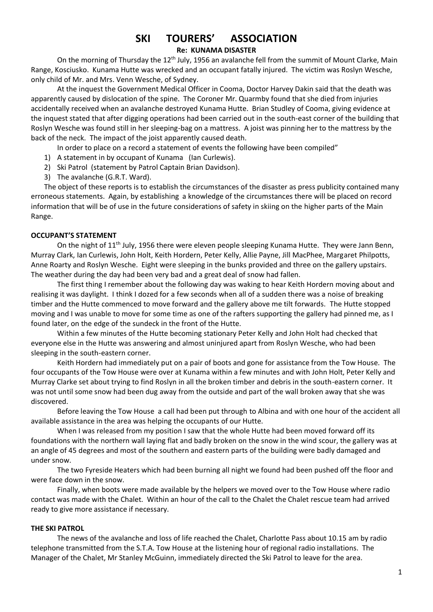# **SKI TOURERS' ASSOCIATION**

## **Re: KUNAMA DISASTER**

On the morning of Thursday the 12<sup>th</sup> July, 1956 an avalanche fell from the summit of Mount Clarke, Main Range, Kosciusko. Kunama Hutte was wrecked and an occupant fatally injured. The victim was Roslyn Wesche, only child of Mr. and Mrs. Venn Wesche, of Sydney.

At the inquest the Government Medical Officer in Cooma, Doctor Harvey Dakin said that the death was apparently caused by dislocation of the spine. The Coroner Mr. Quarmby found that she died from injuries accidentally received when an avalanche destroyed Kunama Hutte. Brian Studley of Cooma, giving evidence at the inquest stated that after digging operations had been carried out in the south-east corner of the building that Roslyn Wesche was found still in her sleeping-bag on a mattress. A joist was pinning her to the mattress by the back of the neck. The impact of the joist apparently caused death.

In order to place on a record a statement of events the following have been compiled"

- 1) A statement in by occupant of Kunama (Ian Curlewis).
- 2) Ski Patrol (statement by Patrol Captain Brian Davidson).
- 3) The avalanche (G.R.T. Ward).

The object of these reports is to establish the circumstances of the disaster as press publicity contained many erroneous statements. Again, by establishing a knowledge of the circumstances there will be placed on record information that will be of use in the future considerations of safety in skiing on the higher parts of the Main Range.

## **OCCUPANT'S STATEMENT**

On the night of 11<sup>th</sup> July, 1956 there were eleven people sleeping Kunama Hutte. They were Jann Benn, Murray Clark, Ian Curlewis, John Holt, Keith Hordern, Peter Kelly, Allie Payne, Jill MacPhee, Margaret Philpotts, Anne Roarty and Roslyn Wesche. Eight were sleeping in the bunks provided and three on the gallery upstairs. The weather during the day had been very bad and a great deal of snow had fallen.

The first thing I remember about the following day was waking to hear Keith Hordern moving about and realising it was daylight. I think I dozed for a few seconds when all of a sudden there was a noise of breaking timber and the Hutte commenced to move forward and the gallery above me tilt forwards. The Hutte stopped moving and I was unable to move for some time as one of the rafters supporting the gallery had pinned me, as I found later, on the edge of the sundeck in the front of the Hutte.

Within a few minutes of the Hutte becoming stationary Peter Kelly and John Holt had checked that everyone else in the Hutte was answering and almost uninjured apart from Roslyn Wesche, who had been sleeping in the south-eastern corner.

Keith Hordern had immediately put on a pair of boots and gone for assistance from the Tow House. The four occupants of the Tow House were over at Kunama within a few minutes and with John Holt, Peter Kelly and Murray Clarke set about trying to find Roslyn in all the broken timber and debris in the south-eastern corner. It was not until some snow had been dug away from the outside and part of the wall broken away that she was discovered.

Before leaving the Tow House a call had been put through to Albina and with one hour of the accident all available assistance in the area was helping the occupants of our Hutte.

When I was released from my position I saw that the whole Hutte had been moved forward off its foundations with the northern wall laying flat and badly broken on the snow in the wind scour, the gallery was at an angle of 45 degrees and most of the southern and eastern parts of the building were badly damaged and under snow.

The two Fyreside Heaters which had been burning all night we found had been pushed off the floor and were face down in the snow.

Finally, when boots were made available by the helpers we moved over to the Tow House where radio contact was made with the Chalet. Within an hour of the call to the Chalet the Chalet rescue team had arrived ready to give more assistance if necessary.

## **THE SKI PATROL**

The news of the avalanche and loss of life reached the Chalet, Charlotte Pass about 10.15 am by radio telephone transmitted from the S.T.A. Tow House at the listening hour of regional radio installations. The Manager of the Chalet, Mr Stanley McGuinn, immediately directed the Ski Patrol to leave for the area.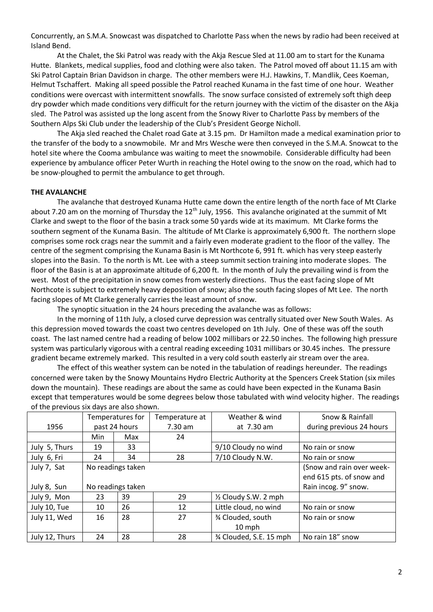Concurrently, an S.M.A. Snowcast was dispatched to Charlotte Pass when the news by radio had been received at Island Bend.

At the Chalet, the Ski Patrol was ready with the Akja Rescue Sled at 11.00 am to start for the Kunama Hutte. Blankets, medical supplies, food and clothing were also taken. The Patrol moved off about 11.15 am with Ski Patrol Captain Brian Davidson in charge. The other members were H.J. Hawkins, T. Mandlik, Cees Koeman, Helmut Tschaffert. Making all speed possible the Patrol reached Kunama in the fast time of one hour. Weather conditions were overcast with intermittent snowfalls. The snow surface consisted of extremely soft thigh deep dry powder which made conditions very difficult for the return journey with the victim of the disaster on the Akja sled. The Patrol was assisted up the long ascent from the Snowy River to Charlotte Pass by members of the Southern Alps Ski Club under the leadership of the Club's President George Nicholl.

The Akja sled reached the Chalet road Gate at 3.15 pm. Dr Hamilton made a medical examination prior to the transfer of the body to a snowmobile. Mr and Mrs Wesche were then conveyed in the S.M.A. Snowcat to the hotel site where the Cooma ambulance was waiting to meet the snowmobile. Considerable difficulty had been experience by ambulance officer Peter Wurth in reaching the Hotel owing to the snow on the road, which had to be snow-ploughed to permit the ambulance to get through.

#### **THE AVALANCHE**

The avalanche that destroyed Kunama Hutte came down the entire length of the north face of Mt Clarke about 7.20 am on the morning of Thursday the  $12<sup>th</sup>$  July, 1956. This avalanche originated at the summit of Mt Clarke and swept to the floor of the basin a track some 50 yards wide at its maximum. Mt Clarke forms the southern segment of the Kunama Basin. The altitude of Mt Clarke is approximately 6,900 ft. The northern slope comprises some rock crags near the summit and a fairly even moderate gradient to the floor of the valley. The centre of the segment comprising the Kunama Basin is Mt Northcote 6, 991 ft. which has very steep easterly slopes into the Basin. To the north is Mt. Lee with a steep summit section training into moderate slopes. The floor of the Basin is at an approximate altitude of 6,200 ft. In the month of July the prevailing wind is from the west. Most of the precipitation in snow comes from westerly directions. Thus the east facing slope of Mt Northcote is subject to extremely heavy deposition of snow; also the south facing slopes of Mt Lee. The north facing slopes of Mt Clarke generally carries the least amount of snow.

The synoptic situation in the 24 hours preceding the avalanche was as follows:

In the morning of 11th July, a closed curve depression was centrally situated over New South Wales. As this depression moved towards the coast two centres developed on 1th July. One of these was off the south coast. The last named centre had a reading of below 1002 millibars or 22.50 inches. The following high pressure system was particularly vigorous with a central reading exceeding 1031 millibars or 30.45 inches. The pressure gradient became extremely marked. This resulted in a very cold south easterly air stream over the area.

The effect of this weather system can be noted in the tabulation of readings hereunder. The readings concerned were taken by the Snowy Mountains Hydro Electric Authority at the Spencers Creek Station (six miles down the mountain). These readings are about the same as could have been expected in the Kunama Basin except that temperatures would be some degrees below those tabulated with wind velocity higher. The readings of the previous six days are also shown.

|                | Temperatures for  |     | Temperature at | Weather & wind         | Snow & Rainfall           |
|----------------|-------------------|-----|----------------|------------------------|---------------------------|
| 1956           | past 24 hours     |     | 7.30 am        | at 7.30 am             | during previous 24 hours  |
|                | Min               | Max | 24             |                        |                           |
| July 5, Thurs  | 19                | 33  |                | 9/10 Cloudy no wind    | No rain or snow           |
| July 6, Fri    | 24                | 34  | 28             | 7/10 Cloudy N.W.       | No rain or snow           |
| July 7, Sat    | No readings taken |     |                |                        | (Snow and rain over week- |
|                |                   |     |                |                        | end 615 pts. of snow and  |
| July 8, Sun    | No readings taken |     |                |                        | Rain incog. 9" snow.      |
| July 9, Mon    | 23                | 39  | 29             | 1/2 Cloudy S.W. 2 mph  |                           |
| July 10, Tue   | 10                | 26  | 12             | Little cloud, no wind  | No rain or snow           |
| July 11, Wed   | 16                | 28  | 27             | 3⁄4 Clouded, south     | No rain or snow           |
|                |                   |     |                | 10 mph                 |                           |
| July 12, Thurs | 24                | 28  | 28             | % Clouded, S.E. 15 mph | No rain 18" snow          |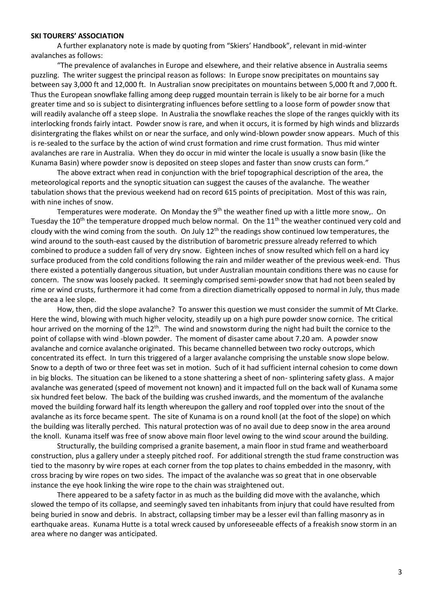#### **SKI TOURERS' ASSOCIATION**

A further explanatory note is made by quoting from "Skiers' Handbook", relevant in mid-winter avalanches as follows:

"The prevalence of avalanches in Europe and elsewhere, and their relative absence in Australia seems puzzling. The writer suggest the principal reason as follows: In Europe snow precipitates on mountains say between say 3,000 ft and 12,000 ft. In Australian snow precipitates on mountains between 5,000 ft and 7,000 ft. Thus the European snowflake falling among deep rugged mountain terrain is likely to be air borne for a much greater time and so is subject to disintergrating influences before settling to a loose form of powder snow that will readily avalanche off a steep slope. In Australia the snowflake reaches the slope of the ranges quickly with its interlocking fronds fairly intact. Powder snow is rare, and when it occurs, it is formed by high winds and blizzards disintergrating the flakes whilst on or near the surface, and only wind-blown powder snow appears. Much of this is re-sealed to the surface by the action of wind crust formation and rime crust formation. Thus mid winter avalanches are rare in Australia. When they do occur in mid winter the locale is usually a snow basin (like the Kunama Basin) where powder snow is deposited on steep slopes and faster than snow crusts can form."

The above extract when read in conjunction with the brief topographical description of the area, the meteorological reports and the synoptic situation can suggest the causes of the avalanche. The weather tabulation shows that the previous weekend had on record 615 points of precipitation. Most of this was rain, with nine inches of snow.

Temperatures were moderate. On Monday the  $9<sup>th</sup>$  the weather fined up with a little more snow,. On Tuesday the 10<sup>th</sup> the temperature dropped much below normal. On the 11<sup>th</sup> the weather continued very cold and cloudy with the wind coming from the south. On July 12<sup>th</sup> the readings show continued low temperatures, the wind around to the south-east caused by the distribution of barometric pressure already referred to which combined to produce a sudden fall of very dry snow. Eighteen inches of snow resulted which fell on a hard icy surface produced from the cold conditions following the rain and milder weather of the previous week-end. Thus there existed a potentially dangerous situation, but under Australian mountain conditions there was no cause for concern. The snow was loosely packed. It seemingly comprised semi-powder snow that had not been sealed by rime or wind crusts, furthermore it had come from a direction diametrically opposed to normal in July, thus made the area a lee slope.

How, then, did the slope avalanche? To answer this question we must consider the summit of Mt Clarke. Here the wind, blowing with much higher velocity, steadily up on a high pure powder snow cornice. The critical hour arrived on the morning of the 12<sup>th</sup>. The wind and snowstorm during the night had built the cornice to the point of collapse with wind -blown powder. The moment of disaster came about 7.20 am. A powder snow avalanche and cornice avalanche originated. This became channelled between two rocky outcrops, which concentrated its effect. In turn this triggered of a larger avalanche comprising the unstable snow slope below. Snow to a depth of two or three feet was set in motion. Such of it had sufficient internal cohesion to come down in big blocks. The situation can be likened to a stone shattering a sheet of non- splintering safety glass. A major avalanche was generated (speed of movement not known) and it impacted full on the back wall of Kunama some six hundred feet below. The back of the building was crushed inwards, and the momentum of the avalanche moved the building forward half its length whereupon the gallery and roof toppled over into the snout of the avalanche as its force became spent. The site of Kunama is on a round knoll (at the foot of the slope) on which the building was literally perched. This natural protection was of no avail due to deep snow in the area around the knoll. Kunama itself was free of snow above main floor level owing to the wind scour around the building.

Structurally, the building comprised a granite basement, a main floor in stud frame and weatherboard construction, plus a gallery under a steeply pitched roof. For additional strength the stud frame construction was tied to the masonry by wire ropes at each corner from the top plates to chains embedded in the masonry, with cross bracing by wire ropes on two sides. The impact of the avalanche was so great that in one observable instance the eye hook linking the wire rope to the chain was straightened out.

There appeared to be a safety factor in as much as the building did move with the avalanche, which slowed the tempo of its collapse, and seemingly saved ten inhabitants from injury that could have resulted from being buried in snow and debris. In abstract, collapsing timber may be a lesser evil than falling masonry as in earthquake areas. Kunama Hutte is a total wreck caused by unforeseeable effects of a freakish snow storm in an area where no danger was anticipated.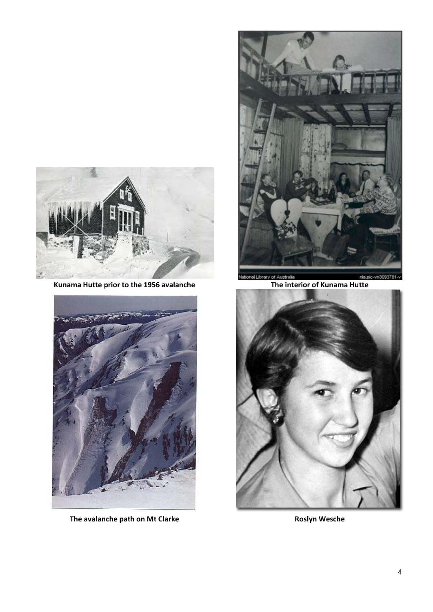

**Kunama Hutte prior to the 1956 avalanche The interior of Kunama Hutte**



**The avalanche path on Mt Clarke Roslyn Wesche Roslyn Wesche** 



al Library of Austr